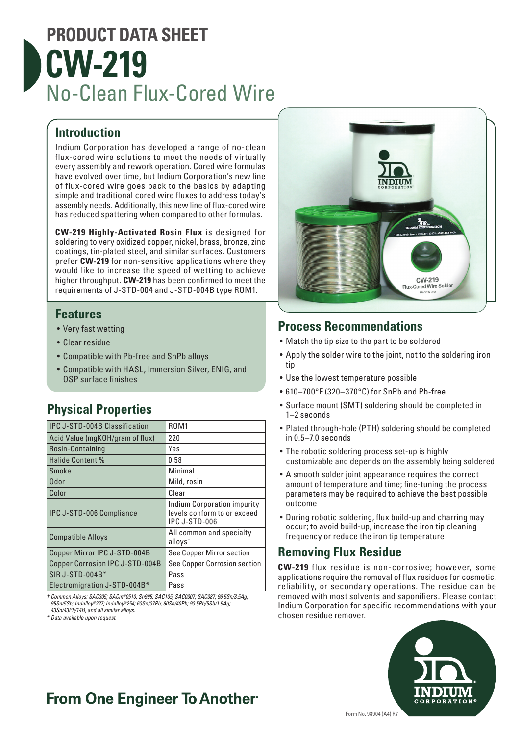# **PRODUCT DATA SHEET CW-219** No-Clean Flux-Cored Wire

#### **Introduction**

Indium Corporation has developed a range of no-clean flux-cored wire solutions to meet the needs of virtually every assembly and rework operation. Cored wire formulas have evolved over time, but Indium Corporation's new line of flux-cored wire goes back to the basics by adapting simple and traditional cored wire fluxes to address today's assembly needs. Additionally, this new line of flux-cored wire has reduced spattering when compared to other formulas.

**CW-219 Highly-Activated Rosin Flux** is designed for soldering to very oxidized copper, nickel, brass, bronze, zinc coatings, tin-plated steel, and similar surfaces. Customers prefer **CW-219** for non-sensitive applications where they would like to increase the speed of wetting to achieve higher throughput. **CW-219** has been confirmed to meet the requirements of J-STD-004 and J-STD-004B type ROM1.

#### **Features**

- Very fast wetting
- Clear residue
- Compatible with Pb-free and SnPb alloys
- Compatible with HASL, Immersion Silver, ENIG, and OSP surface finishes

### **Physical Properties**

| <b>IPC J-STD-004B Classification</b> | <b>ROM1</b>                                                                        |
|--------------------------------------|------------------------------------------------------------------------------------|
| Acid Value (mgKOH/gram of flux)      | 220                                                                                |
| Rosin-Containing                     | Yes                                                                                |
| <b>Halide Content %</b>              | 0.58                                                                               |
| Smoke                                | Minimal                                                                            |
| Odor                                 | Mild, rosin                                                                        |
| Color                                | Clear                                                                              |
| <b>IPC J-STD-006 Compliance</b>      | <b>Indium Corporation impurity</b><br>levels conform to or exceed<br>IPC J-STD-006 |
| <b>Compatible Alloys</b>             | All common and specialty<br>$allovs^{\dagger}$                                     |
| Copper Mirror IPC J-STD-004B         | See Copper Mirror section                                                          |
| Copper Corrosion IPC J-STD-004B      | See Copper Corrosion section                                                       |
| SIR J-STD-004B*                      | Pass                                                                               |
| Electromigration J-STD-004B*         | Pass                                                                               |

*† Common Alloys: SAC305; SACm®0510; Sn995; SAC105; SAC0307; SAC387; 96.5Sn/3.5Ag; 95Sn/5Sb; Indalloy®227; Indalloy®254; 63Sn/37Pb; 60Sn/40Pb; 93.5Pb/5Sb/1.5Ag; 43Sn/43Pb/14B, and all similar alloys.*

*\* Data available upon request.*



#### **Process Recommendations**

- Match the tip size to the part to be soldered
- Apply the solder wire to the joint, not to the soldering iron tip
- Use the lowest temperature possible
- 610–700°F (320–370°C) for SnPb and Pb-free
- Surface mount (SMT) soldering should be completed in 1–2 seconds
- Plated through-hole (PTH) soldering should be completed in 0.5–7.0 seconds
- The robotic soldering process set-up is highly customizable and depends on the assembly being soldered
- A smooth solder joint appearance requires the correct amount of temperature and time; fine-tuning the process parameters may be required to achieve the best possible outcome
- During robotic soldering, flux build-up and charring may occur; to avoid build-up, increase the iron tip cleaning frequency or reduce the iron tip temperature

#### **Removing Flux Residue**

**CW-219** flux residue is non-corrosive; however, some applications require the removal of flux residues for cosmetic, reliability, or secondary operations. The residue can be removed with most solvents and saponifiers. Please contact Indium Corporation for specific recommendations with your chosen residue remover.



### **From One Engineer To Another**®

Form No. 98904 (A4) R7